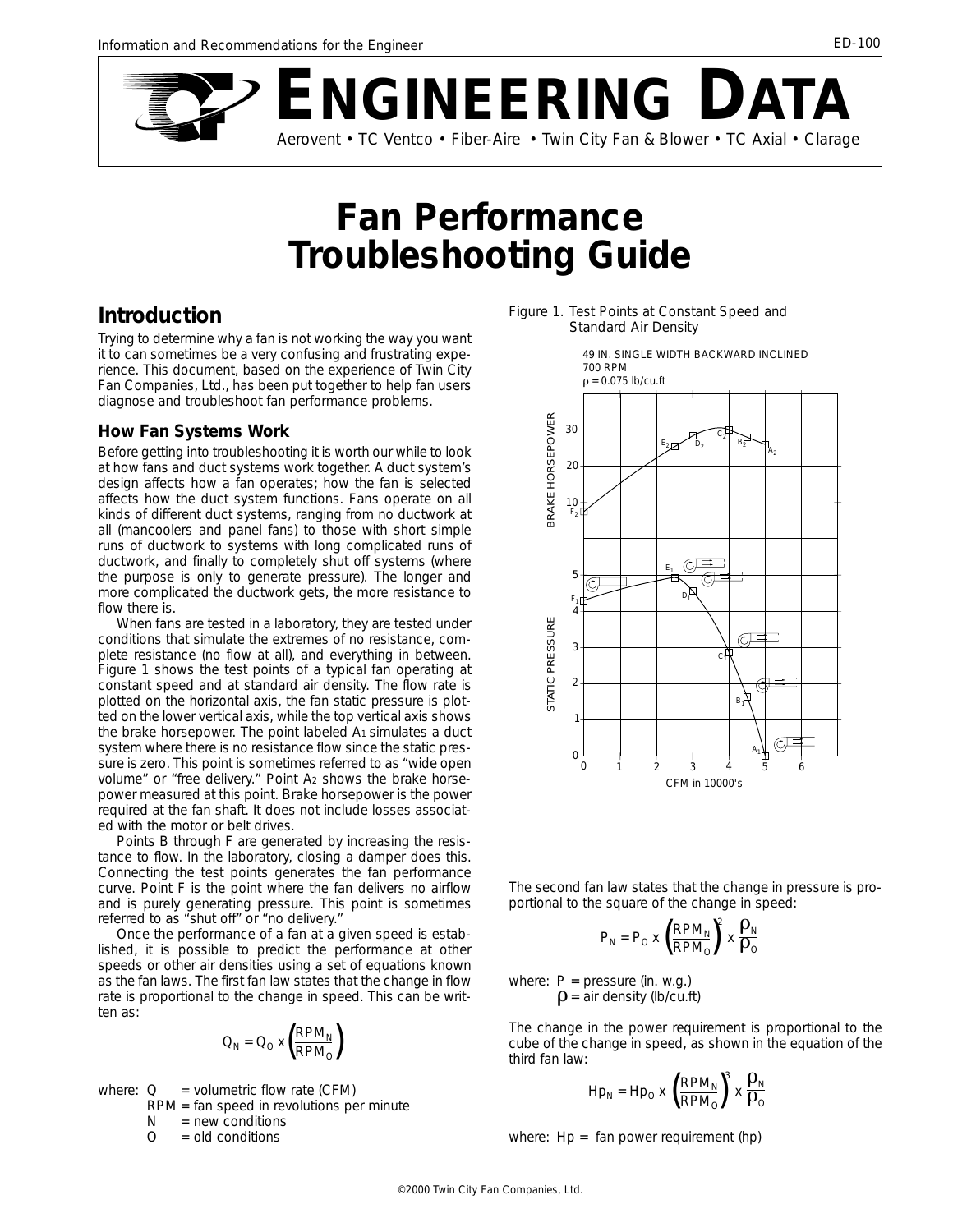

# **Fan Performance Troubleshooting Guide**

# **Introduction**

Trying to determine why a fan is not working the way you want it to can sometimes be a very confusing and frustrating experience. This document, based on the experience of Twin City Fan Companies, Ltd., has been put together to help fan users diagnose and troubleshoot fan performance problems.

#### **How Fan Systems Work**

Before getting into troubleshooting it is worth our while to look at how fans and duct systems work together. A duct system's design affects how a fan operates; how the fan is selected affects how the duct system functions. Fans operate on all kinds of different duct systems, ranging from no ductwork at all (mancoolers and panel fans) to those with short simple runs of ductwork to systems with long complicated runs of ductwork, and finally to completely shut off systems (where the purpose is only to generate pressure). The longer and more complicated the ductwork gets, the more resistance to flow there is.

When fans are tested in a laboratory, they are tested under conditions that simulate the extremes of no resistance, complete resistance (no flow at all), and everything in between. Figure 1 shows the test points of a typical fan operating at constant speed and at standard air density. The flow rate is plotted on the horizontal axis, the fan static pressure is plotted on the lower vertical axis, while the top vertical axis shows the brake horsepower. The point labeled  $A_1$  simulates a duct system where there is no resistance flow since the static pressure is zero. This point is sometimes referred to as "wide open volume" or "free delivery." Point A2 shows the brake horsepower measured at this point. Brake horsepower is the power required at the fan shaft. It does not include losses associated with the motor or belt drives.

Points B through F are generated by increasing the resistance to flow. In the laboratory, closing a damper does this. Connecting the test points generates the fan performance curve. Point F is the point where the fan delivers no airflow and is purely generating pressure. This point is sometimes referred to as "shut off" or "no delivery."

Once the performance of a fan at a given speed is established, it is possible to predict the performance at other speeds or other air densities using a set of equations known as the fan laws. The first fan law states that the change in flow rate is proportional to the change in speed. This can be written as:

$$
Q_N = Q_O \times \left(\frac{RPM_N}{RPM_O}\right)
$$

where: 
$$
Q =
$$
 volumetric flow rate (CFM)  
RPM = fan speed in revolutions per minute

 $N = new conditions$ 

$$
0 = old conditions
$$

*Figure 1. Test Points at Constant Speed and Standard Air Density*



The second fan law states that the change in pressure is proportional to the square of the change in speed:

$$
\mathsf{P}_\mathsf{N} = \mathsf{P}_\mathsf{O} \times \left(\frac{\mathsf{RPM}_\mathsf{N}}{\mathsf{RPM}_\mathsf{O}}\right)^{\!2} \times \frac{\rho_\mathsf{N}}{\rho_\mathsf{O}}
$$

where:  $P = pressure (in. w.g.)$  $\rho$  = air density (lb/cu.ft)

The change in the power requirement is proportional to the cube of the change in speed, as shown in the equation of the third fan law:

$$
H p_N = H p_O \times \left(\frac{R P M_N}{R P M_O}\right)^3 \times \frac{\rho_N}{\rho_O}
$$

where: Hp = fan power requirement (hp)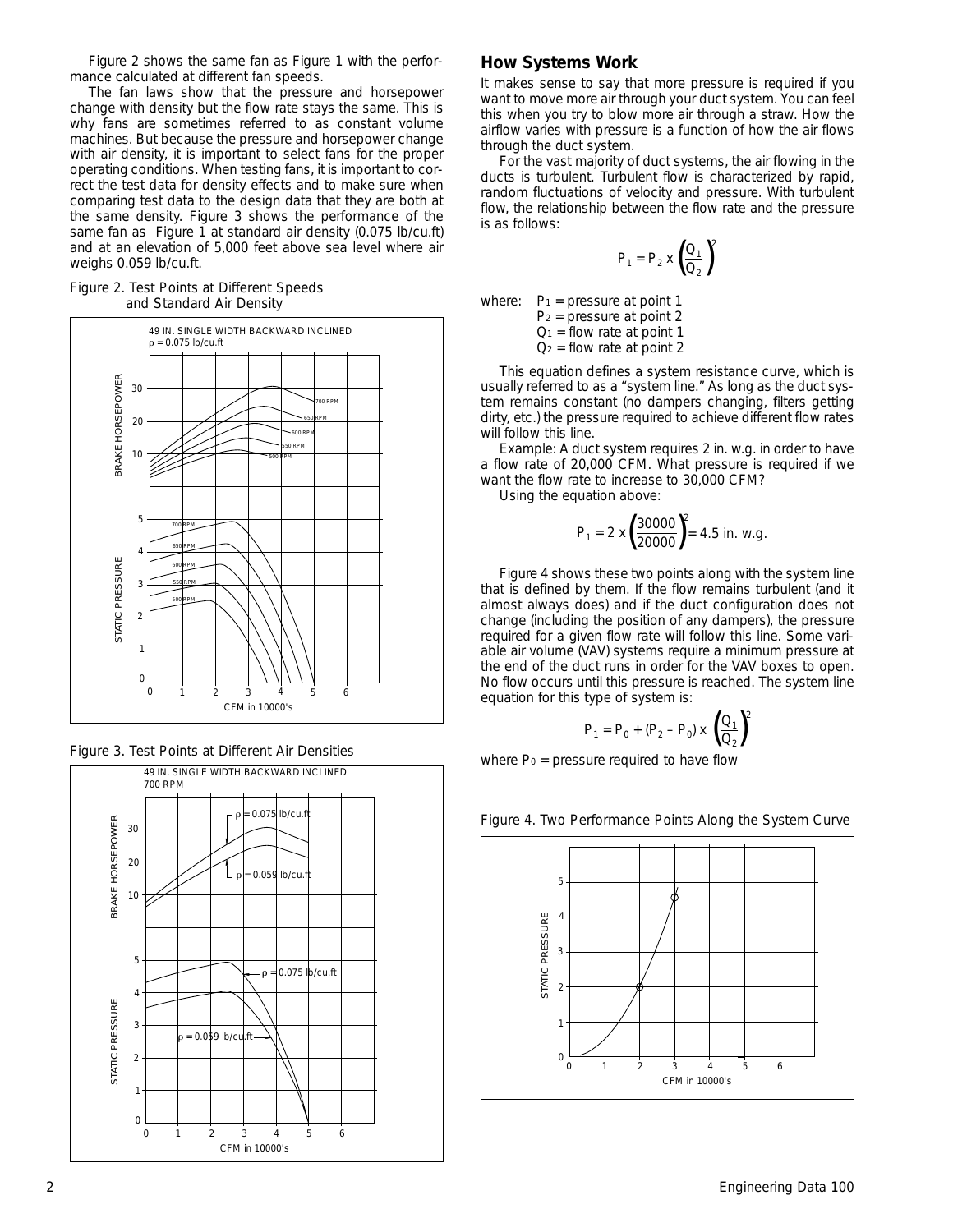Figure 2 shows the same fan as Figure 1 with the performance calculated at different fan speeds.

The fan laws show that the pressure and horsepower change with density but the flow rate stays the same. This is why fans are sometimes referred to as constant volume machines. But because the pressure and horsepower change with air density, it is important to select fans for the proper operating conditions. When testing fans, it is important to correct the test data for density effects and to make sure when comparing test data to the design data that they are both at the same density. Figure 3 shows the performance of the same fan as Figure 1 at standard air density (0.075 lb/cu.ft) and at an elevation of 5,000 feet above sea level where air weighs 0.059 lb/cu.ft.

#### *Figure 2. Test Points at Different Speeds and Standard Air Density*







#### **How Systems Work**

It makes sense to say that more pressure is required if you want to move more air through your duct system. You can feel this when you try to blow more air through a straw. How the airflow varies with pressure is a function of how the air flows through the duct system.

For the vast majority of duct systems, the air flowing in the ducts is turbulent. Turbulent flow is characterized by rapid, random fluctuations of velocity and pressure. With turbulent flow, the relationship between the flow rate and the pressure is as follows:

$$
P_1 = P_2 \times \left(\frac{Q_1}{Q_2}\right)^2
$$

where:  $P_1$  = pressure at point 1

 $P_2$  = pressure at point 2  $Q_1$  = flow rate at point 1  $Q_2$  = flow rate at point 2

This equation defines a system resistance curve, which is usually referred to as a "system line." As long as the duct system remains constant (no dampers changing, filters getting dirty, etc.) the pressure required to achieve different flow rates will follow this line.

Example: A duct system requires 2 in. w.g. in order to have a flow rate of 20,000 CFM. What pressure is required if we want the flow rate to increase to 30,000 CFM?

Using the equation above:

$$
P_1 = 2 \times \left(\frac{30000}{20000}\right)^2 = 4.5 \text{ in. w.g.}
$$

Figure 4 shows these two points along with the system line that is defined by them. If the flow remains turbulent (and it almost always does) and if the duct configuration does not change (including the position of any dampers), the pressure required for a given flow rate will follow this line. Some variable air volume (VAV) systems require a minimum pressure at the end of the duct runs in order for the VAV boxes to open. No flow occurs until this pressure is reached. The system line equation for this type of system is:

$$
P_1 = P_0 + (P_2 - P_0) \times \left(\frac{Q_1}{Q_2}\right)^2
$$

where  $Po = pressure$  required to have flow

#### *Figure 4. Two Performance Points Along the System Curve*

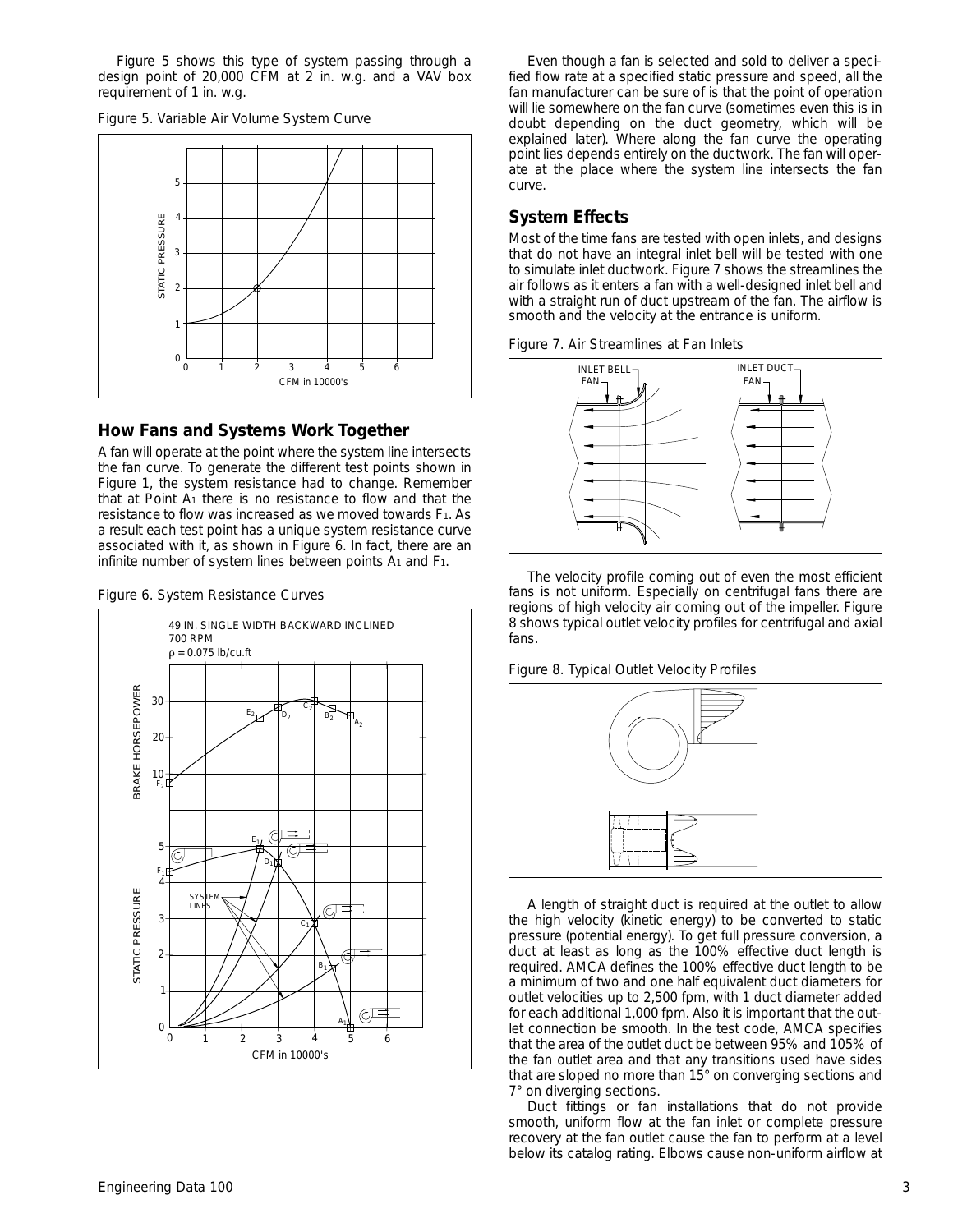Figure 5 shows this type of system passing through a design point of 20,000 CFM at 2 in. w.g. and a VAV box requirement of 1 in. w.g.

*Figure 5. Variable Air Volume System Curve*



#### **How Fans and Systems Work Together**

A fan will operate at the point where the system line intersects the fan curve. To generate the different test points shown in Figure 1, the system resistance had to change. Remember that at Point  $A_1$  there is no resistance to flow and that the resistance to flow was increased as we moved towards F1. As a result each test point has a unique system resistance curve associated with it, as shown in Figure 6. In fact, there are an infinite number of system lines between points  $A_1$  and  $F_1$ .





Even though a fan is selected and sold to deliver a specified flow rate at a specified static pressure and speed, all the fan manufacturer can be sure of is that the point of operation will lie somewhere on the fan curve (sometimes even this is in doubt depending on the duct geometry, which will be explained later). Where along the fan curve the operating point lies depends entirely on the ductwork. The fan will operate at the place where the system line intersects the fan curve.

# **System Effects**

Most of the time fans are tested with open inlets, and designs that do not have an integral inlet bell will be tested with one to simulate inlet ductwork. Figure 7 shows the streamlines the air follows as it enters a fan with a well-designed inlet bell and with a straight run of duct upstream of the fan. The airflow is smooth and the velocity at the entrance is uniform.





The velocity profile coming out of even the most efficient fans is not uniform. Especially on centrifugal fans there are regions of high velocity air coming out of the impeller. Figure 8 shows typical outlet velocity profiles for centrifugal and axial fans.

*Figure 8. Typical Outlet Velocity Profiles*



A length of straight duct is required at the outlet to allow the high velocity (kinetic energy) to be converted to static pressure (potential energy). To get full pressure conversion, a duct at least as long as the 100% effective duct length is required. AMCA defines the 100% effective duct length to be a minimum of two and one half equivalent duct diameters for outlet velocities up to 2,500 fpm, with 1 duct diameter added for each additional 1,000 fpm. Also it is important that the outlet connection be smooth. In the test code, AMCA specifies that the area of the outlet duct be between 95% and 105% of the fan outlet area and that any transitions used have sides that are sloped no more than 15° on converging sections and 7° on diverging sections.

Duct fittings or fan installations that do not provide smooth, uniform flow at the fan inlet or complete pressure recovery at the fan outlet cause the fan to perform at a level below its catalog rating. Elbows cause non-uniform airflow at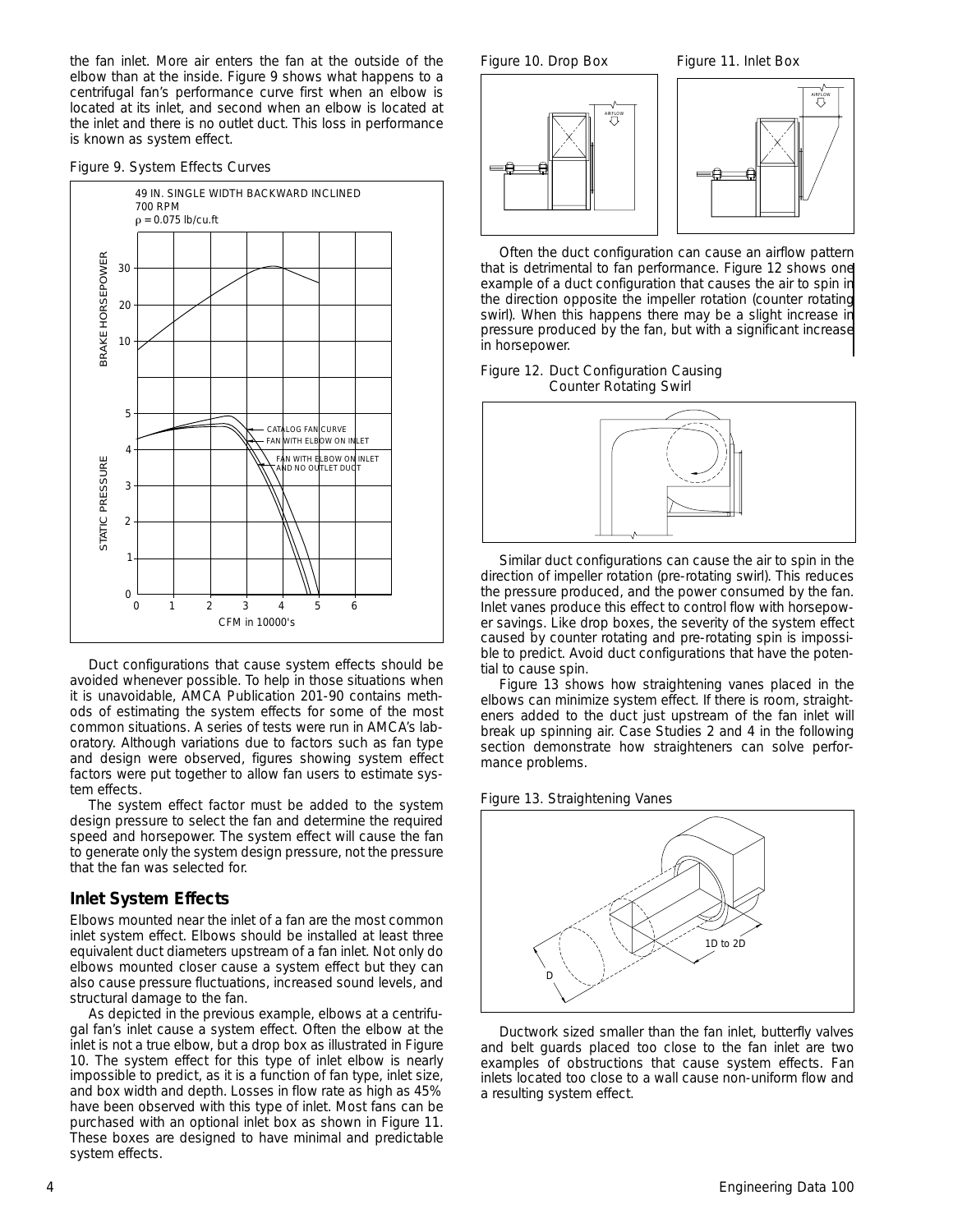the fan inlet. More air enters the fan at the outside of the elbow than at the inside. Figure 9 shows what happens to a centrifugal fan's performance curve first when an elbow is located at its inlet, and second when an elbow is located at the inlet and there is no outlet duct. This loss in performance is known as system effect.

#### *Figure 9. System Effects Curves*



Duct configurations that cause system effects should be avoided whenever possible. To help in those situations when it is unavoidable, AMCA Publication 201-90 contains methods of estimating the system effects for some of the most common situations. A series of tests were run in AMCA's laboratory. Although variations due to factors such as fan type and design were observed, figures showing system effect factors were put together to allow fan users to estimate system effects.

The system effect factor must be added to the system design pressure to select the fan and determine the required speed and horsepower. The system effect will cause the fan to generate only the system design pressure, not the pressure that the fan was selected for.

#### **Inlet System Effects**

Elbows mounted near the inlet of a fan are the most common inlet system effect. Elbows should be installed at least three equivalent duct diameters upstream of a fan inlet. Not only do elbows mounted closer cause a system effect but they can also cause pressure fluctuations, increased sound levels, and structural damage to the fan.

As depicted in the previous example, elbows at a centrifugal fan's inlet cause a system effect. Often the elbow at the inlet is not a true elbow, but a drop box as illustrated in Figure 10. The system effect for this type of inlet elbow is nearly impossible to predict, as it is a function of fan type, inlet size, and box width and depth. Losses in flow rate as high as 45% have been observed with this type of inlet. Most fans can be purchased with an optional inlet box as shown in Figure 11. These boxes are designed to have minimal and predictable system effects.

*Figure 10. Drop Box Figure 11. Inlet Box*



Often the duct configuration can cause an airflow pattern that is detrimental to fan performance. Figure 12 shows one example of a duct configuration that causes the air to spin in the direction opposite the impeller rotation (counter rotating swirl). When this happens there may be a slight increase in pressure produced by the fan, but with a significant increase in horsepower.

#### *Figure 12. Duct Configuration Causing Counter Rotating Swirl*



Similar duct configurations can cause the air to spin in the direction of impeller rotation (pre-rotating swirl). This reduces the pressure produced, and the power consumed by the fan. Inlet vanes produce this effect to control flow with horsepower savings. Like drop boxes, the severity of the system effect caused by counter rotating and pre-rotating spin is impossible to predict. Avoid duct configurations that have the potential to cause spin.

Figure 13 shows how straightening vanes placed in the elbows can minimize system effect. If there is room, straighteners added to the duct just upstream of the fan inlet will break up spinning air. Case Studies 2 and 4 in the following section demonstrate how straighteners can solve performance problems.

*Figure 13. Straightening Vanes*



Ductwork sized smaller than the fan inlet, butterfly valves and belt guards placed too close to the fan inlet are two examples of obstructions that cause system effects. Fan inlets located too close to a wall cause non-uniform flow and a resulting system effect.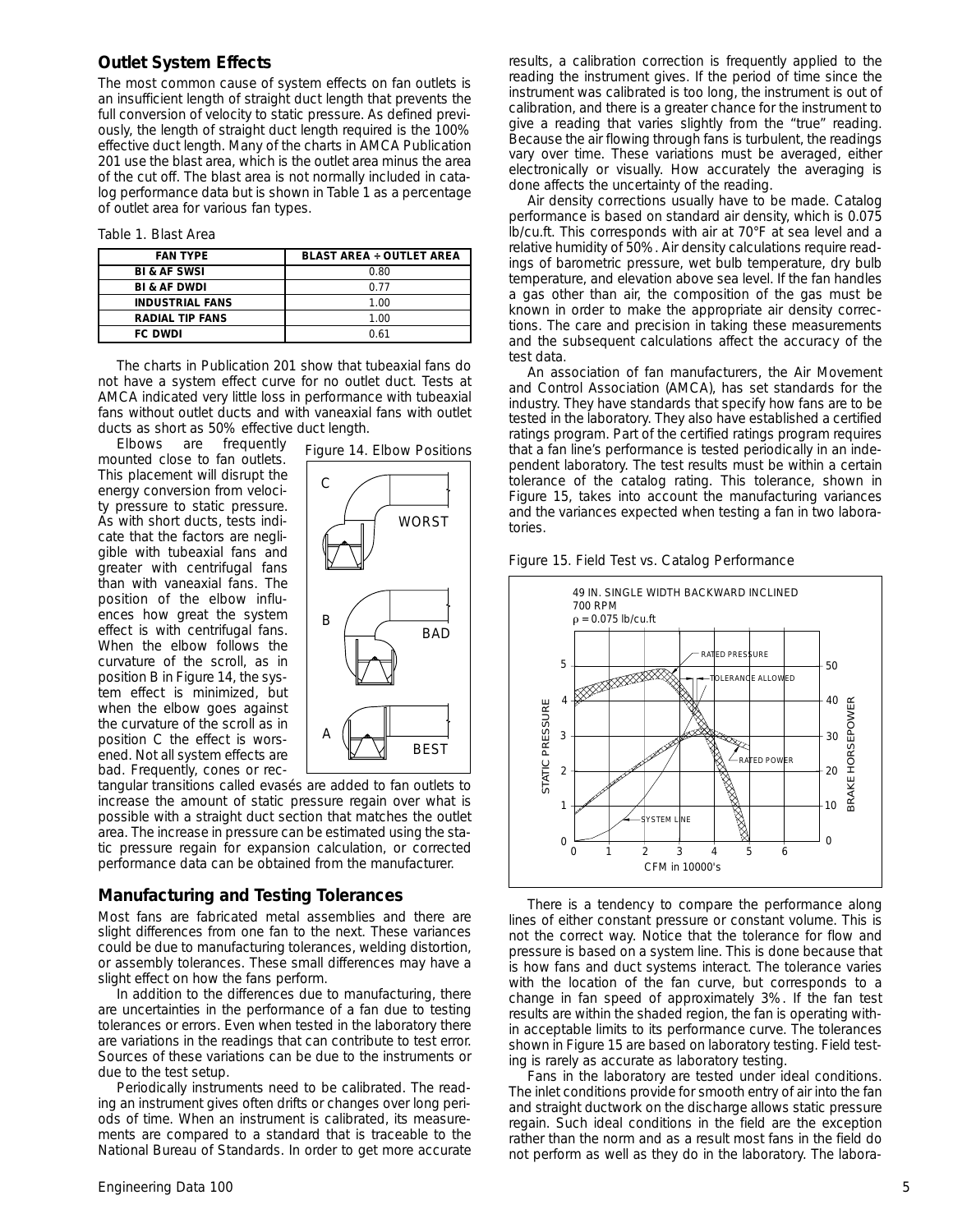#### **Outlet System Effects**

The most common cause of system effects on fan outlets is an insufficient length of straight duct length that prevents the full conversion of velocity to static pressure. As defined previously, the length of straight duct length required is the 100% effective duct length. Many of the charts in AMCA Publication 201 use the blast area, which is the outlet area minus the area of the cut off. The blast area is not normally included in catalog performance data but is shown in Table 1 as a percentage of outlet area for various fan types.

*Table 1. Blast Area*

| <b>FAN TYPE</b>         | <b>BLAST AREA ÷ OUTLET AREA</b> |
|-------------------------|---------------------------------|
| <b>BI &amp; AF SWSI</b> | 0.80                            |
| <b>BI &amp; AF DWDI</b> | 0.77                            |
| <b>INDUSTRIAL FANS</b>  | 1.00                            |
| <b>RADIAL TIP FANS</b>  | 1.00                            |
| <b>FC DWDI</b>          | 0 61                            |

The charts in Publication 201 show that tubeaxial fans do not have a system effect curve for no outlet duct. Tests at AMCA indicated very little loss in performance with tubeaxial fans without outlet ducts and with vaneaxial fans with outlet ducts as short as 50% effective duct length.

Elbows are frequently mounted close to fan outlets. This placement will disrupt the energy conversion from velocity pressure to static pressure. As with short ducts, tests indicate that the factors are negligible with tubeaxial fans and greater with centrifugal fans than with vaneaxial fans. The position of the elbow influences how great the system effect is with centrifugal fans. When the elbow follows the curvature of the scroll, as in position B in Figure 14, the system effect is minimized, but when the elbow goes against the curvature of the scroll as in position C the effect is worsened. Not all system effects are bad. Frequently, cones or rec-



tangular transitions called evasés are added to fan outlets to increase the amount of static pressure regain over what is possible with a straight duct section that matches the outlet area. The increase in pressure can be estimated using the static pressure regain for expansion calculation, or corrected performance data can be obtained from the manufacturer.

## **Manufacturing and Testing Tolerances**

Most fans are fabricated metal assemblies and there are slight differences from one fan to the next. These variances could be due to manufacturing tolerances, welding distortion, or assembly tolerances. These small differences may have a slight effect on how the fans perform.

In addition to the differences due to manufacturing, there are uncertainties in the performance of a fan due to testing tolerances or errors. Even when tested in the laboratory there are variations in the readings that can contribute to test error. Sources of these variations can be due to the instruments or due to the test setup.

Periodically instruments need to be calibrated. The reading an instrument gives often drifts or changes over long periods of time. When an instrument is calibrated, its measurements are compared to a standard that is traceable to the National Bureau of Standards. In order to get more accurate results, a calibration correction is frequently applied to the reading the instrument gives. If the period of time since the instrument was calibrated is too long, the instrument is out of calibration, and there is a greater chance for the instrument to give a reading that varies slightly from the "true" reading. Because the air flowing through fans is turbulent, the readings vary over time. These variations must be averaged, either electronically or visually. How accurately the averaging is done affects the uncertainty of the reading.

Air density corrections usually have to be made. Catalog performance is based on standard air density, which is 0.075 lb/cu.ft. This corresponds with air at 70°F at sea level and a relative humidity of 50%. Air density calculations require readings of barometric pressure, wet bulb temperature, dry bulb temperature, and elevation above sea level. If the fan handles a gas other than air, the composition of the gas must be known in order to make the appropriate air density corrections. The care and precision in taking these measurements and the subsequent calculations affect the accuracy of the test data.

An association of fan manufacturers, the Air Movement and Control Association (AMCA), has set standards for the industry. They have standards that specify how fans are to be tested in the laboratory. They also have established a certified ratings program. Part of the certified ratings program requires that a fan line's performance is tested periodically in an independent laboratory. The test results must be within a certain tolerance of the catalog rating. This tolerance, shown in Figure 15, takes into account the manufacturing variances and the variances expected when testing a fan in two laboratories.





There is a tendency to compare the performance along lines of either constant pressure or constant volume. This is not the correct way. Notice that the tolerance for flow and pressure is based on a system line. This is done because that is how fans and duct systems interact. The tolerance varies with the location of the fan curve, but corresponds to a change in fan speed of approximately 3%. If the fan test results are within the shaded region, the fan is operating within acceptable limits to its performance curve. The tolerances shown in Figure 15 are based on laboratory testing. Field testing is rarely as accurate as laboratory testing.

Fans in the laboratory are tested under ideal conditions. The inlet conditions provide for smooth entry of air into the fan and straight ductwork on the discharge allows static pressure regain. Such ideal conditions in the field are the exception rather than the norm and as a result most fans in the field do not perform as well as they do in the laboratory. The labora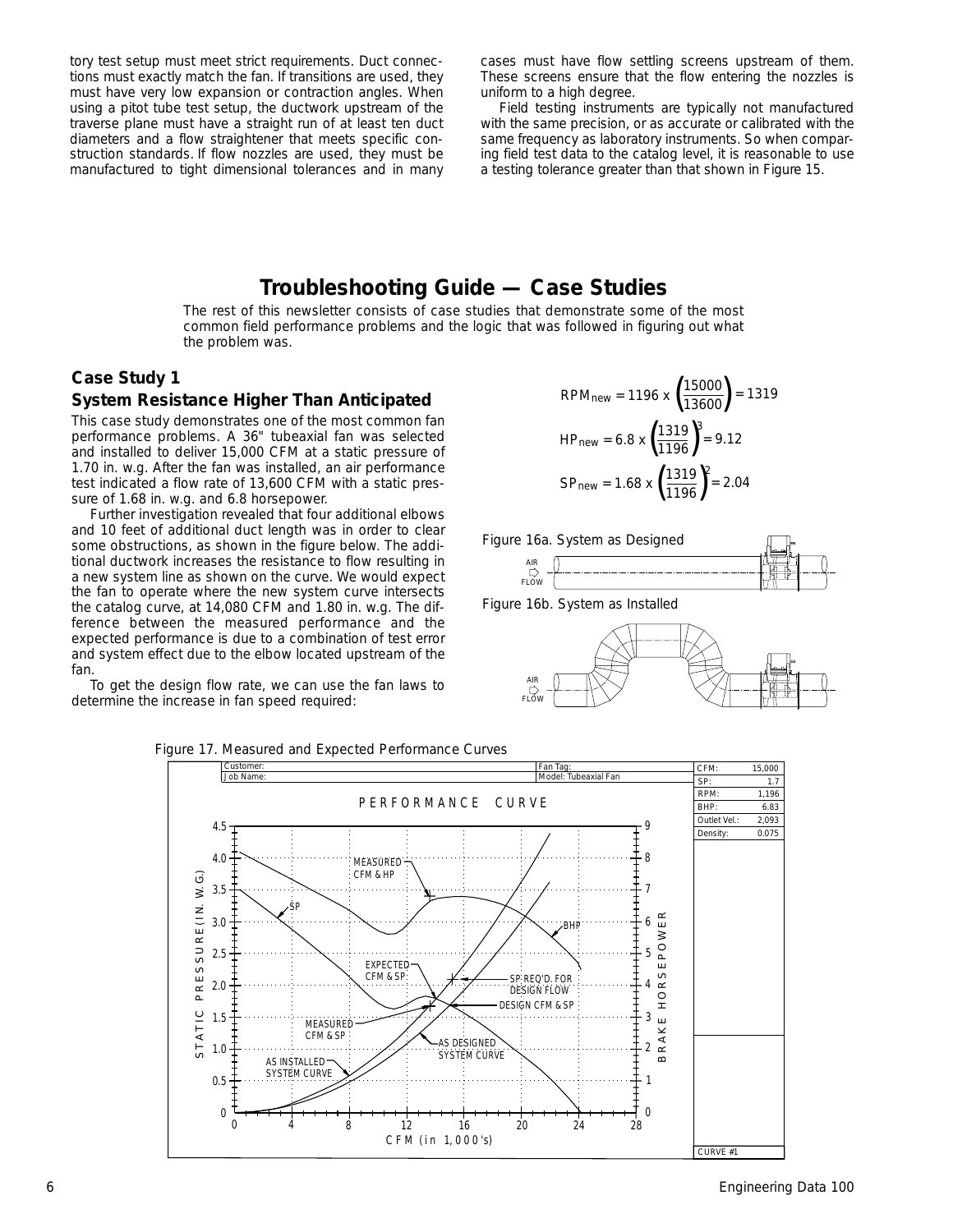tory test setup must meet strict requirements. Duct connections must exactly match the fan. If transitions are used, they must have very low expansion or contraction angles. When using a pitot tube test setup, the ductwork upstream of the traverse plane must have a straight run of at least ten duct diameters and a flow straightener that meets specific construction standards. If flow nozzles are used, they must be manufactured to tight dimensional tolerances and in many cases must have flow settling screens upstream of them. These screens ensure that the flow entering the nozzles is uniform to a high degree.

Field testing instruments are typically not manufactured with the same precision, or as accurate or calibrated with the same frequency as laboratory instruments. So when comparing field test data to the catalog level, it is reasonable to use a testing tolerance greater than that shown in Figure 15.

# **Troubleshooting Guide — Case Studies**

The rest of this newsletter consists of case studies that demonstrate some of the most common field performance problems and the logic that was followed in figuring out what the problem was.

# **Case Study 1**

#### **System Resistance Higher Than Anticipated**

This case study demonstrates one of the most common fan performance problems. A 36" tubeaxial fan was selected and installed to deliver 15,000 CFM at a static pressure of 1.70 in. w.g. After the fan was installed, an air performance test indicated a flow rate of 13,600 CFM with a static pressure of 1.68 in. w.g. and 6.8 horsepower.

Further investigation revealed that four additional elbows and 10 feet of additional duct length was in order to clear some obstructions, as shown in the figure below. The additional ductwork increases the resistance to flow resulting in a new system line as shown on the curve. We would expect the fan to operate where the new system curve intersects the catalog curve, at 14,080 CFM and 1.80 in. w.g. The difference between the measured performance and the expected performance is due to a combination of test error and system effect due to the elbow located upstream of the fan.

To get the design flow rate, we can use the fan laws to determine the increase in fan speed required:

$$
RPMnew = 1196 \times \left(\frac{15000}{13600}\right) = 1319
$$
  
\n
$$
HPnew = 6.8 \times \left(\frac{1319}{1196}\right)^3 = 9.12
$$
  
\n
$$
SPnew = 1.68 \times \left(\frac{1319}{1196}\right)^2 = 2.04
$$







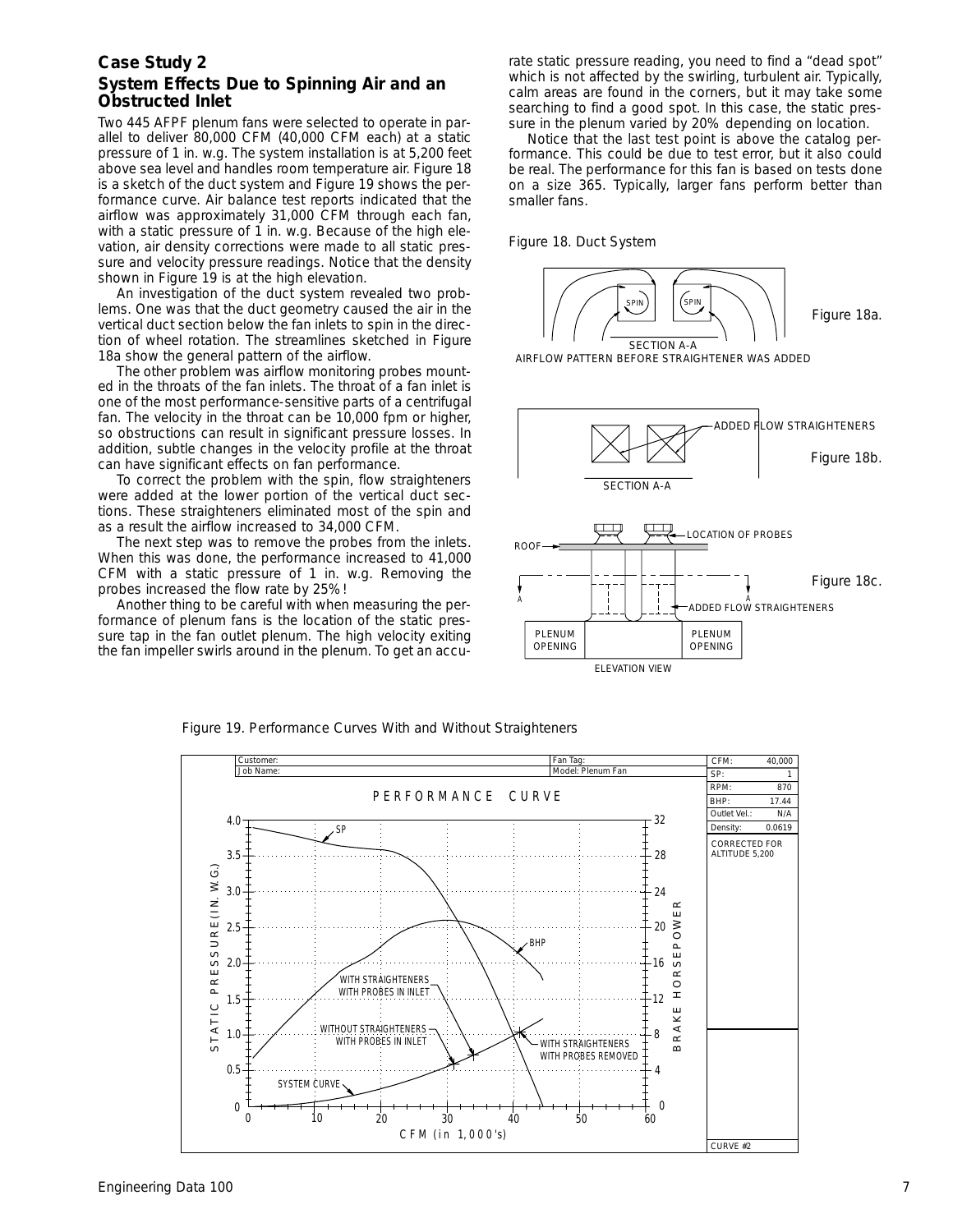### **System Effects Due to Spinning Air and an Obstructed Inlet**

Two 445 AFPF plenum fans were selected to operate in parallel to deliver 80,000 CFM (40,000 CFM each) at a static pressure of 1 in. w.g. The system installation is at 5,200 feet above sea level and handles room temperature air. Figure 18 is a sketch of the duct system and Figure 19 shows the performance curve. Air balance test reports indicated that the airflow was approximately 31,000 CFM through each fan, with a static pressure of 1 in. w.g. Because of the high elevation, air density corrections were made to all static pressure and velocity pressure readings. Notice that the density shown in Figure 19 is at the high elevation.

An investigation of the duct system revealed two problems. One was that the duct geometry caused the air in the vertical duct section below the fan inlets to spin in the direction of wheel rotation. The streamlines sketched in Figure 18a show the general pattern of the airflow.

The other problem was airflow monitoring probes mounted in the throats of the fan inlets. The throat of a fan inlet is one of the most performance-sensitive parts of a centrifugal fan. The velocity in the throat can be 10,000 fpm or higher, so obstructions can result in significant pressure losses. In addition, subtle changes in the velocity profile at the throat can have significant effects on fan performance.

To correct the problem with the spin, flow straighteners were added at the lower portion of the vertical duct sections. These straighteners eliminated most of the spin and as a result the airflow increased to 34,000 CFM.

The next step was to remove the probes from the inlets. When this was done, the performance increased to 41,000 CFM with a static pressure of 1 in. w.g. Removing the probes increased the flow rate by 25%!

Another thing to be careful with when measuring the performance of plenum fans is the location of the static pressure tap in the fan outlet plenum. The high velocity exiting the fan impeller swirls around in the plenum. To get an accurate static pressure reading, you need to find a "dead spot" which is not affected by the swirling, turbulent air. Typically, calm areas are found in the corners, but it may take some searching to find a good spot. In this case, the static pressure in the plenum varied by 20% depending on location.

Notice that the last test point is above the catalog performance. This could be due to test error, but it also could be real. The performance for this fan is based on tests done on a size 365. Typically, larger fans perform better than smaller fans.

*Figure 18. Duct System*





*Figure 19. Performance Curves With and Without Straighteners*

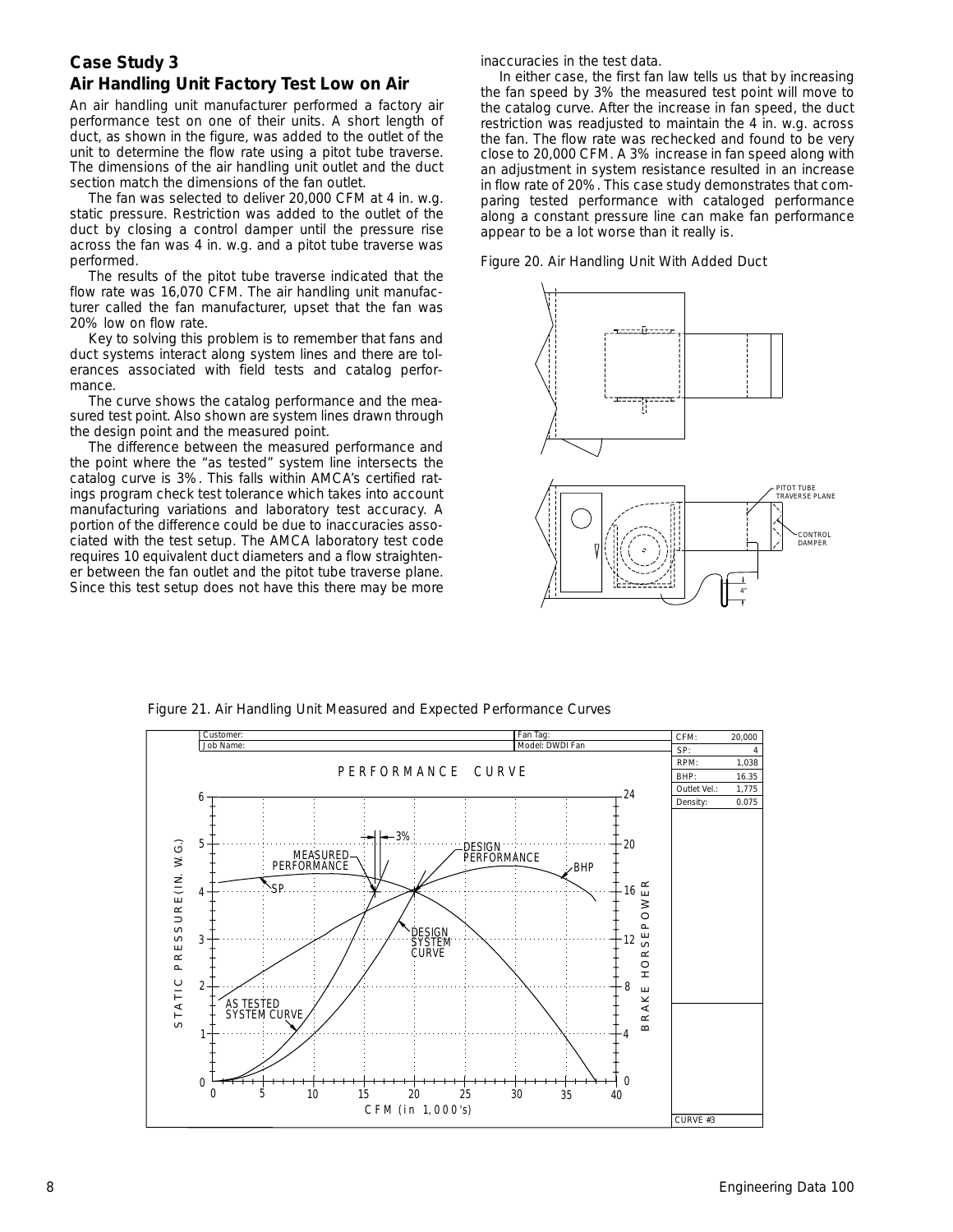# **Air Handling Unit Factory Test Low on Air**

An air handling unit manufacturer performed a factory air performance test on one of their units. A short length of duct, as shown in the figure, was added to the outlet of the unit to determine the flow rate using a pitot tube traverse. The dimensions of the air handling unit outlet and the duct section match the dimensions of the fan outlet.

The fan was selected to deliver 20,000 CFM at 4 in. w.g. static pressure. Restriction was added to the outlet of the duct by closing a control damper until the pressure rise across the fan was 4 in. w.g. and a pitot tube traverse was performed.

The results of the pitot tube traverse indicated that the flow rate was 16,070 CFM. The air handling unit manufacturer called the fan manufacturer, upset that the fan was 20% low on flow rate.

Key to solving this problem is to remember that fans and duct systems interact along system lines and there are tolerances associated with field tests and catalog performance.

The curve shows the catalog performance and the measured test point. Also shown are system lines drawn through the design point and the measured point.

The difference between the measured performance and the point where the "as tested" system line intersects the catalog curve is 3%. This falls within AMCA's certified ratings program check test tolerance which takes into account manufacturing variations and laboratory test accuracy. A portion of the difference could be due to inaccuracies associated with the test setup. The AMCA laboratory test code requires 10 equivalent duct diameters and a flow straightener between the fan outlet and the pitot tube traverse plane. Since this test setup does not have this there may be more inaccuracies in the test data.

In either case, the first fan law tells us that by increasing the fan speed by 3% the measured test point will move to the catalog curve. After the increase in fan speed, the duct restriction was readjusted to maintain the 4 in. w.g. across the fan. The flow rate was rechecked and found to be very close to 20,000 CFM. A 3% increase in fan speed along with an adjustment in system resistance resulted in an increase in flow rate of 20%. This case study demonstrates that comparing tested performance with cataloged performance along a constant pressure line can make fan performance appear to be a lot worse than it really is.





*Figure 21. Air Handling Unit Measured and Expected Performance Curves*

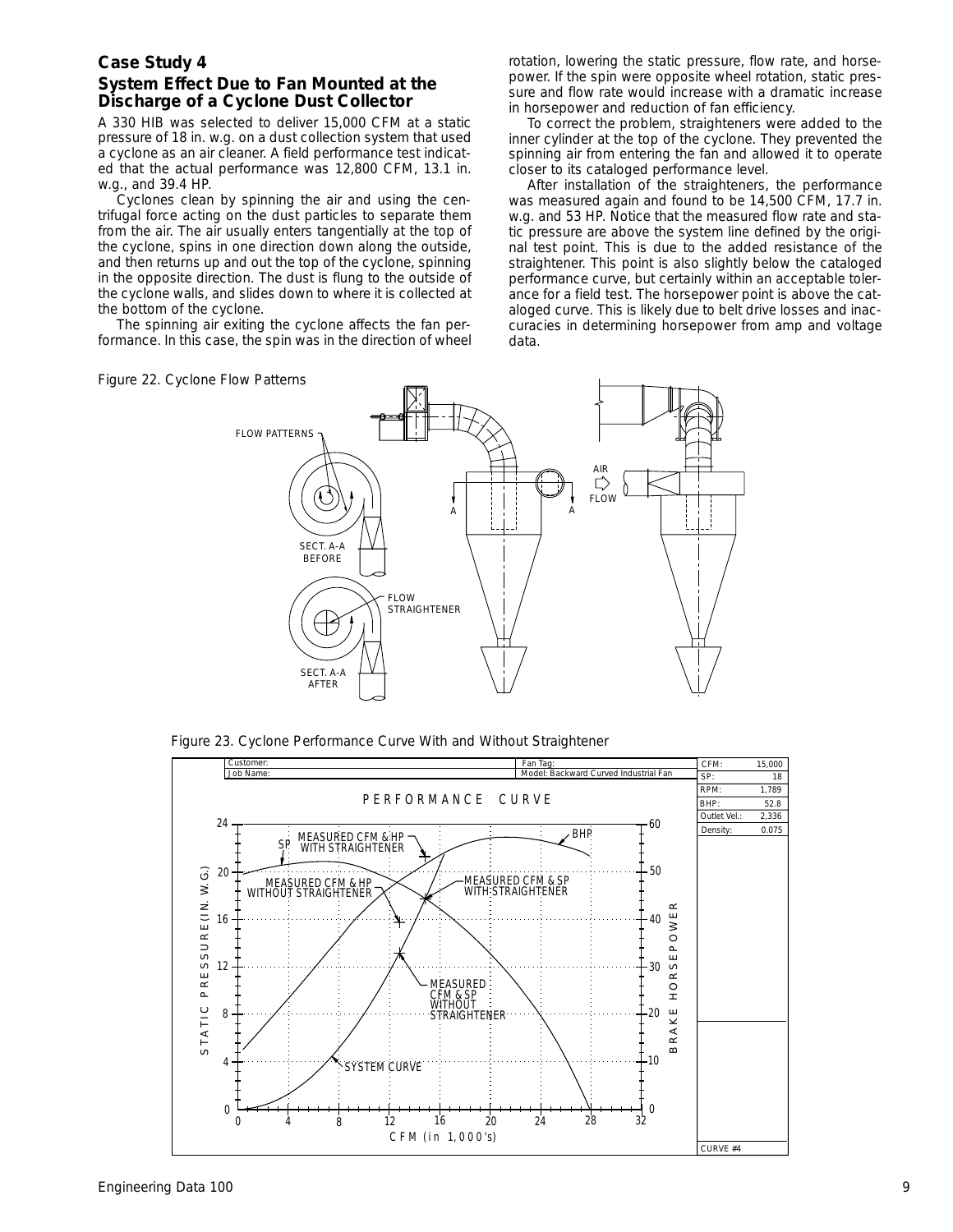# **System Effect Due to Fan Mounted at the Discharge of a Cyclone Dust Collector**

A 330 HIB was selected to deliver 15,000 CFM at a static pressure of 18 in. w.g. on a dust collection system that used a cyclone as an air cleaner. A field performance test indicated that the actual performance was 12,800 CFM, 13.1 in. w.g., and 39.4 HP.

Cyclones clean by spinning the air and using the centrifugal force acting on the dust particles to separate them from the air. The air usually enters tangentially at the top of the cyclone, spins in one direction down along the outside, and then returns up and out the top of the cyclone, spinning in the opposite direction. The dust is flung to the outside of the cyclone walls, and slides down to where it is collected at the bottom of the cyclone.

The spinning air exiting the cyclone affects the fan performance. In this case, the spin was in the direction of wheel rotation, lowering the static pressure, flow rate, and horsepower. If the spin were opposite wheel rotation, static pressure and flow rate would increase with a dramatic increase in horsepower and reduction of fan efficiency.

To correct the problem, straighteners were added to the inner cylinder at the top of the cyclone. They prevented the spinning air from entering the fan and allowed it to operate closer to its cataloged performance level.

After installation of the straighteners, the performance was measured again and found to be 14,500 CFM, 17.7 in. w.g. and 53 HP. Notice that the measured flow rate and static pressure are above the system line defined by the original test point. This is due to the added resistance of the straightener. This point is also slightly below the cataloged performance curve, but certainly within an acceptable tolerance for a field test. The horsepower point is above the cataloged curve. This is likely due to belt drive losses and inaccuracies in determining horsepower from amp and voltage data.



*Figure 23. Cyclone Performance Curve With and Without Straightener*



*Figure 22. Cyclone Flow Patterns*